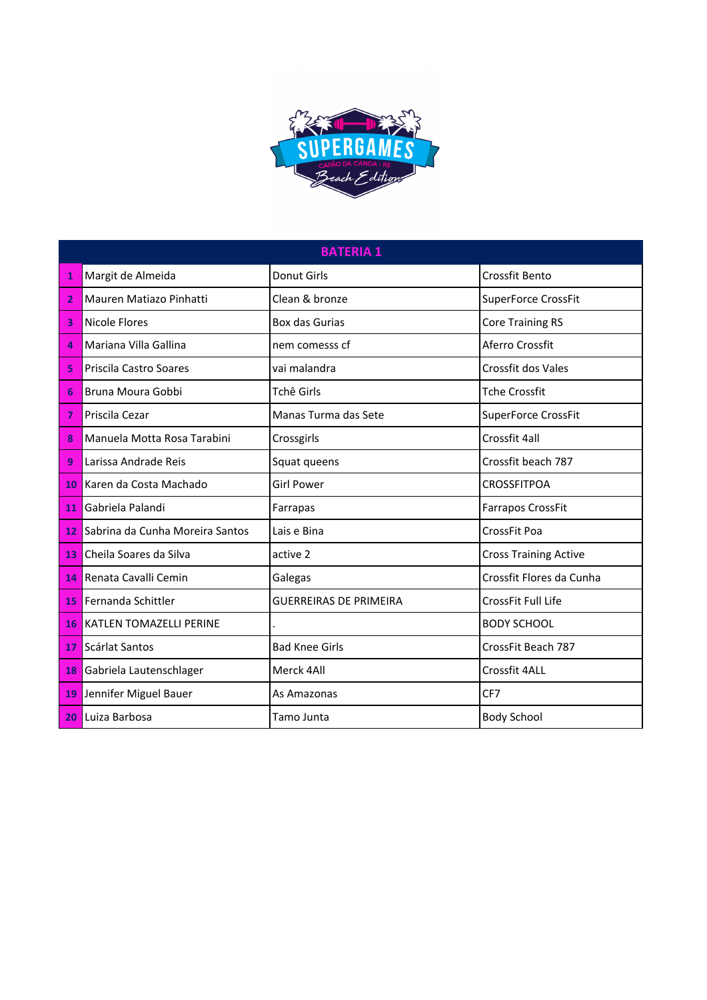

|                         | <b>BATERIA 1</b>                |                               |                              |  |  |
|-------------------------|---------------------------------|-------------------------------|------------------------------|--|--|
| 1                       | Margit de Almeida               | <b>Donut Girls</b>            | Crossfit Bento               |  |  |
| 2                       | Mauren Matiazo Pinhatti         | Clean & bronze                | SuperForce CrossFit          |  |  |
| 3                       | Nicole Flores                   | Box das Gurias                | <b>Core Training RS</b>      |  |  |
| $\overline{\mathbf{a}}$ | Mariana Villa Gallina           | nem comesss cf                | Aferro Crossfit              |  |  |
| 5                       | Priscila Castro Soares          | vai malandra                  | Crossfit dos Vales           |  |  |
| 6                       | Bruna Moura Gobbi               | Tchê Girls                    | <b>Tche Crossfit</b>         |  |  |
| 7                       | Priscila Cezar                  | Manas Turma das Sete          | <b>SuperForce CrossFit</b>   |  |  |
| 8                       | Manuela Motta Rosa Tarabini     | Crossgirls                    | Crossfit 4all                |  |  |
| 9                       | Larissa Andrade Reis            | Squat queens                  | Crossfit beach 787           |  |  |
| 10 <sup>°</sup>         | Karen da Costa Machado          | <b>Girl Power</b>             | <b>CROSSFITPOA</b>           |  |  |
| 11                      | Gabriela Palandi                | Farrapas                      | <b>Farrapos CrossFit</b>     |  |  |
| 12                      | Sabrina da Cunha Moreira Santos | Lais e Bina                   | CrossFit Poa                 |  |  |
| 13                      | Cheila Soares da Silva          | active 2                      | <b>Cross Training Active</b> |  |  |
| 14                      | Renata Cavalli Cemin            | Galegas                       | Crossfit Flores da Cunha     |  |  |
| 15 <sub>1</sub>         | Fernanda Schittler              | <b>GUERREIRAS DE PRIMEIRA</b> | CrossFit Full Life           |  |  |
| 16                      | <b>KATLEN TOMAZELLI PERINE</b>  |                               | <b>BODY SCHOOL</b>           |  |  |
| 17 <sup>1</sup>         | Scárlat Santos                  | <b>Bad Knee Girls</b>         | CrossFit Beach 787           |  |  |
| 18                      | Gabriela Lautenschlager         | Merck 4All                    | Crossfit 4ALL                |  |  |
| 19                      | Jennifer Miguel Bauer           | As Amazonas                   | CF7                          |  |  |
| 20                      | Luiza Barbosa                   | Tamo Junta                    | <b>Body School</b>           |  |  |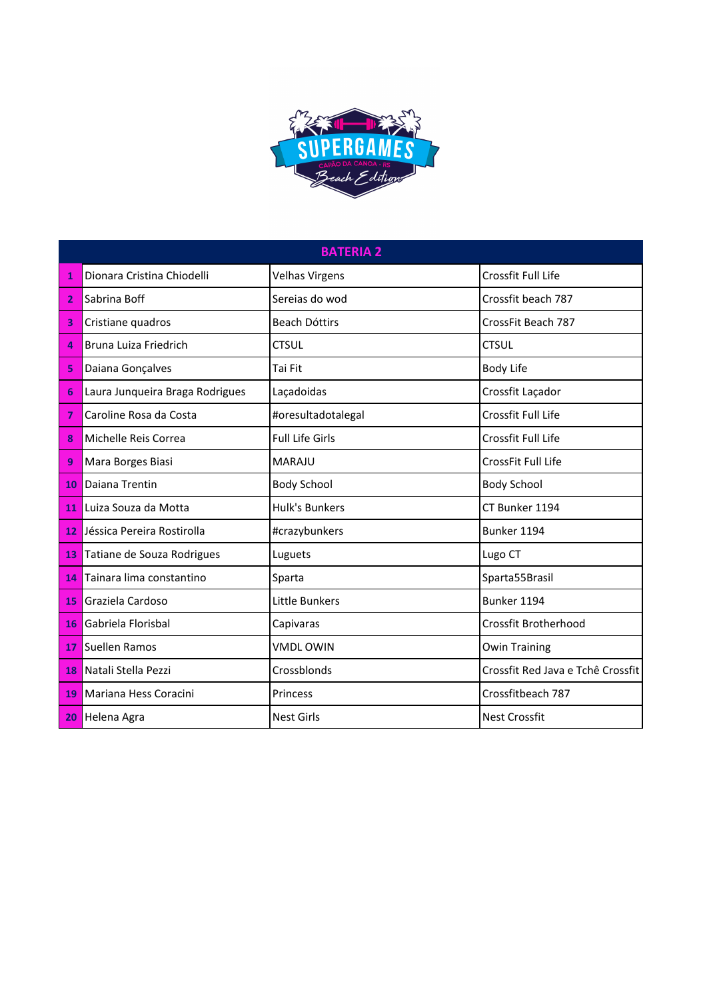

|                | <b>BATERIA 2</b>                |                        |                                   |  |
|----------------|---------------------------------|------------------------|-----------------------------------|--|
| 1              | Dionara Cristina Chiodelli      | <b>Velhas Virgens</b>  | Crossfit Full Life                |  |
| 2              | Sabrina Boff                    | Sereias do wod         | Crossfit beach 787                |  |
| 3              | Cristiane quadros               | <b>Beach Dóttirs</b>   | CrossFit Beach 787                |  |
| $\overline{a}$ | Bruna Luiza Friedrich           | <b>CTSUL</b>           | <b>CTSUL</b>                      |  |
| 5              | Daiana Gonçalves                | Tai Fit                | <b>Body Life</b>                  |  |
| 6              | Laura Junqueira Braga Rodrigues | Laçadoidas             | Crossfit Laçador                  |  |
| 7              | Caroline Rosa da Costa          | #oresultadotalegal     | Crossfit Full Life                |  |
| 8              | Michelle Reis Correa            | <b>Full Life Girls</b> | Crossfit Full Life                |  |
| 9              | Mara Borges Biasi               | <b>MARAJU</b>          | CrossFit Full Life                |  |
| 10             | Daiana Trentin                  | <b>Body School</b>     | <b>Body School</b>                |  |
| 11             | Luiza Souza da Motta            | Hulk's Bunkers         | CT Bunker 1194                    |  |
| 12             | Jéssica Pereira Rostirolla      | #crazybunkers          | Bunker 1194                       |  |
| 13             | Tatiane de Souza Rodrigues      | Luguets                | Lugo CT                           |  |
| 14             | Tainara lima constantino        | Sparta                 | Sparta55Brasil                    |  |
| 15             | Graziela Cardoso                | <b>Little Bunkers</b>  | Bunker 1194                       |  |
| 16             | Gabriela Florisbal              | Capivaras              | <b>Crossfit Brotherhood</b>       |  |
| 17             | Suellen Ramos                   | <b>VMDLOWIN</b>        | <b>Owin Training</b>              |  |
| 18             | Natali Stella Pezzi             | Crossblonds            | Crossfit Red Java e Tchê Crossfit |  |
| 19             | Mariana Hess Coracini           | Princess               | Crossfitbeach 787                 |  |
| 20             | Helena Agra                     | <b>Nest Girls</b>      | <b>Nest Crossfit</b>              |  |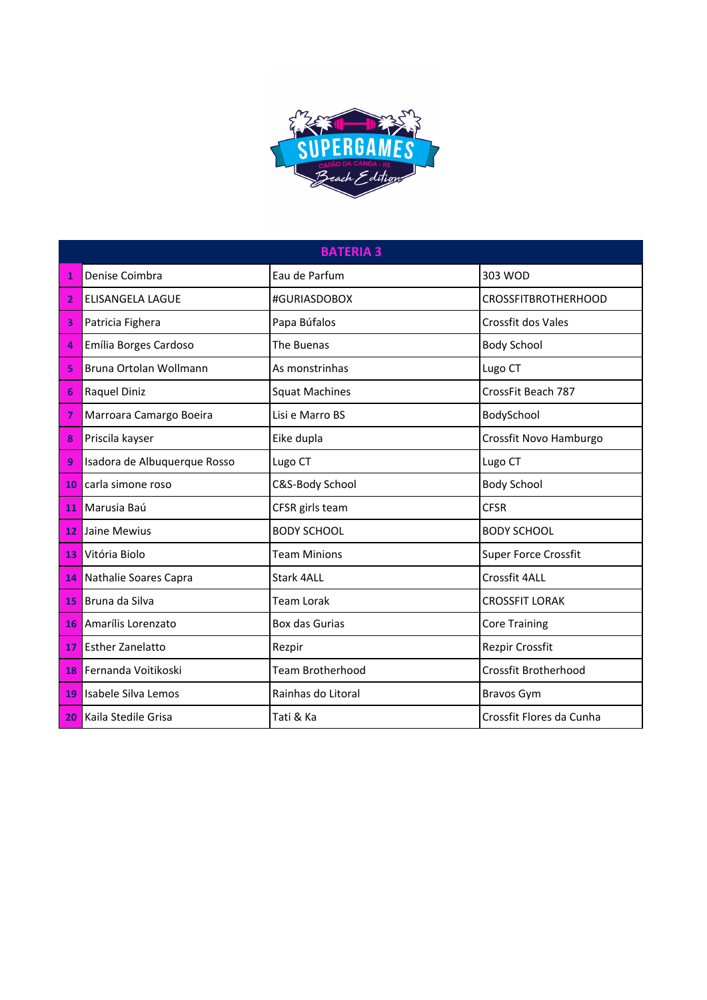

|    | <b>BATERIA 3</b>             |                         |                             |  |  |
|----|------------------------------|-------------------------|-----------------------------|--|--|
| 1  | Denise Coimbra               | Eau de Parfum           | 303 WOD                     |  |  |
| 2  | <b>ELISANGELA LAGUE</b>      | #GURIASDOBOX            | <b>CROSSFITBROTHERHOOD</b>  |  |  |
| 3  | Patricia Fighera             | Papa Búfalos            | <b>Crossfit dos Vales</b>   |  |  |
| 4  | Emília Borges Cardoso        | The Buenas              | <b>Body School</b>          |  |  |
| 5  | Bruna Ortolan Wollmann       | As monstrinhas          | Lugo CT                     |  |  |
| 6  | Raquel Diniz                 | <b>Squat Machines</b>   | CrossFit Beach 787          |  |  |
| 7  | Marroara Camargo Boeira      | Lisi e Marro BS         | BodySchool                  |  |  |
| 8  | Priscila kayser              | Eike dupla              | Crossfit Novo Hamburgo      |  |  |
| 9  | Isadora de Albuquerque Rosso | Lugo CT                 | Lugo CT                     |  |  |
| 10 | carla simone roso            | C&S-Body School         | <b>Body School</b>          |  |  |
| 11 | Marusia Baú                  | CFSR girls team         | <b>CFSR</b>                 |  |  |
| 12 | Jaine Mewius                 | <b>BODY SCHOOL</b>      | <b>BODY SCHOOL</b>          |  |  |
| 13 | Vitória Biolo                | <b>Team Minions</b>     | <b>Super Force Crossfit</b> |  |  |
| 14 | Nathalie Soares Capra        | Stark 4ALL              | Crossfit 4ALL               |  |  |
| 15 | Bruna da Silva               | <b>Team Lorak</b>       | <b>CROSSFIT LORAK</b>       |  |  |
| 16 | Amarílis Lorenzato           | Box das Gurias          | <b>Core Training</b>        |  |  |
| 17 | <b>Esther Zanelatto</b>      | Rezpir                  | Rezpir Crossfit             |  |  |
| 18 | Fernanda Voitikoski          | <b>Team Brotherhood</b> | Crossfit Brotherhood        |  |  |
| 19 | Isabele Silva Lemos          | Rainhas do Litoral      | <b>Bravos Gym</b>           |  |  |
| 20 | Kaila Stedile Grisa          | Tati & Ka               | Crossfit Flores da Cunha    |  |  |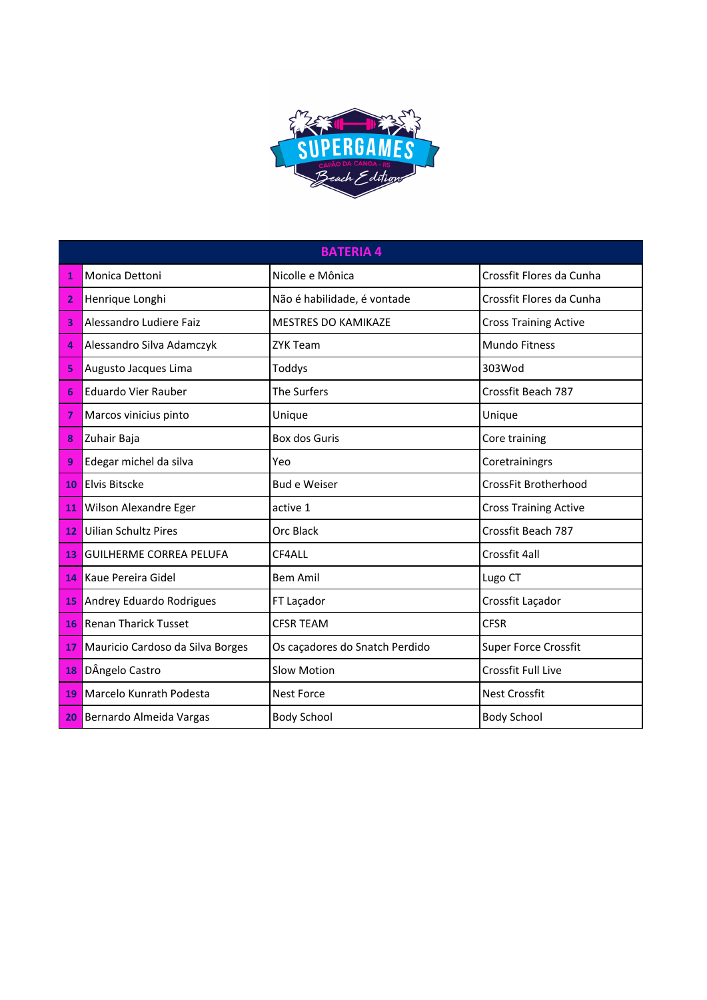

| <b>BATERIA 4</b> |                                  |                                |                              |
|------------------|----------------------------------|--------------------------------|------------------------------|
| 1                | Monica Dettoni                   | Nicolle e Mônica               | Crossfit Flores da Cunha     |
| 2                | Henrique Longhi                  | Não é habilidade, é vontade    | Crossfit Flores da Cunha     |
| 3                | Alessandro Ludiere Faiz          | <b>MESTRES DO KAMIKAZE</b>     | <b>Cross Training Active</b> |
| 4                | Alessandro Silva Adamczyk        | <b>ZYK Team</b>                | <b>Mundo Fitness</b>         |
| 5                | Augusto Jacques Lima             | Toddys                         | 303Wod                       |
| 6                | <b>Eduardo Vier Rauber</b>       | <b>The Surfers</b>             | Crossfit Beach 787           |
| 7                | Marcos vinicius pinto            | Unique                         | Unique                       |
| 8                | Zuhair Baja                      | Box dos Guris                  | Core training                |
| 9                | Edegar michel da silva           | Yeo                            | Coretrainingrs               |
| 10               | <b>Elvis Bitscke</b>             | <b>Bud e Weiser</b>            | CrossFit Brotherhood         |
| 11               | Wilson Alexandre Eger            | active 1                       | <b>Cross Training Active</b> |
| 12               | <b>Uilian Schultz Pires</b>      | Orc Black                      | Crossfit Beach 787           |
| 13               | <b>GUILHERME CORREA PELUFA</b>   | CF4ALL                         | Crossfit 4all                |
| 14               | Kaue Pereira Gidel               | <b>Bem Amil</b>                | Lugo CT                      |
| 15               | Andrey Eduardo Rodrigues         | FT Laçador                     | Crossfit Laçador             |
| 16               | <b>Renan Tharick Tusset</b>      | <b>CFSR TEAM</b>               | <b>CFSR</b>                  |
| 17               | Mauricio Cardoso da Silva Borges | Os caçadores do Snatch Perdido | <b>Super Force Crossfit</b>  |
| 18               | DÂngelo Castro                   | <b>Slow Motion</b>             | <b>Crossfit Full Live</b>    |
| 19               | Marcelo Kunrath Podesta          | <b>Nest Force</b>              | <b>Nest Crossfit</b>         |
| 20               | Bernardo Almeida Vargas          | <b>Body School</b>             | <b>Body School</b>           |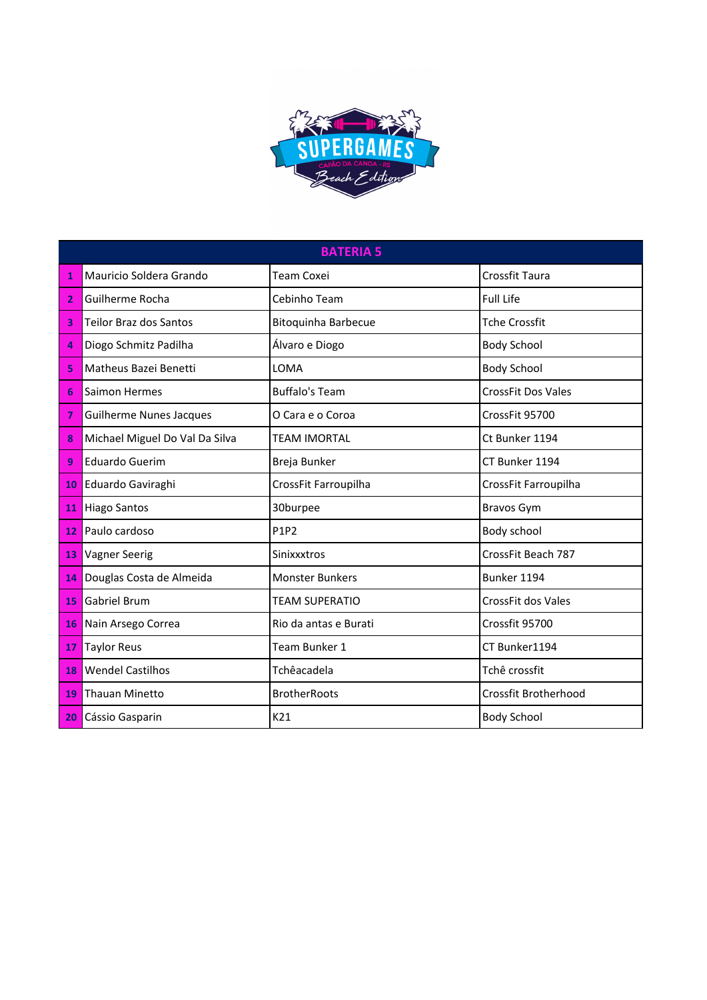

|                 | <b>BATERIA 5</b>               |                            |                           |  |
|-----------------|--------------------------------|----------------------------|---------------------------|--|
| 1               | Mauricio Soldera Grando        | <b>Team Coxei</b>          | <b>Crossfit Taura</b>     |  |
| $\overline{2}$  | Guilherme Rocha                | Cebinho Team               | <b>Full Life</b>          |  |
| 3               | <b>Teilor Braz dos Santos</b>  | <b>Bitoquinha Barbecue</b> | <b>Tche Crossfit</b>      |  |
| 4               | Diogo Schmitz Padilha          | Álvaro e Diogo             | <b>Body School</b>        |  |
| 5               | Matheus Bazei Benetti          | LOMA                       | <b>Body School</b>        |  |
| 6               | Saimon Hermes                  | <b>Buffalo's Team</b>      | <b>CrossFit Dos Vales</b> |  |
| 7               | <b>Guilherme Nunes Jacques</b> | O Cara e o Coroa           | CrossFit 95700            |  |
| 8               | Michael Miguel Do Val Da Silva | <b>TEAM IMORTAL</b>        | Ct Bunker 1194            |  |
| 9               | <b>Eduardo Guerim</b>          | Breja Bunker               | CT Bunker 1194            |  |
|                 | 10 Eduardo Gaviraghi           | CrossFit Farroupilha       | CrossFit Farroupilha      |  |
| 11              | <b>Hiago Santos</b>            | 30burpee                   | <b>Bravos Gym</b>         |  |
| 12              | Paulo cardoso                  | P1P2                       | Body school               |  |
| 13              | <b>Vagner Seerig</b>           | Sinixxxtros                | CrossFit Beach 787        |  |
| 14              | Douglas Costa de Almeida       | <b>Monster Bunkers</b>     | Bunker 1194               |  |
| 15              | <b>Gabriel Brum</b>            | <b>TEAM SUPERATIO</b>      | CrossFit dos Vales        |  |
| 16              | Nain Arsego Correa             | Rio da antas e Burati      | Crossfit 95700            |  |
| 17 <sup>1</sup> | <b>Taylor Reus</b>             | Team Bunker 1              | CT Bunker1194             |  |
| 18              | <b>Wendel Castilhos</b>        | Tchêacadela                | Tchê crossfit             |  |
| 19              | <b>Thauan Minetto</b>          | <b>BrotherRoots</b>        | Crossfit Brotherhood      |  |
| 20              | Cássio Gasparin                | K21                        | <b>Body School</b>        |  |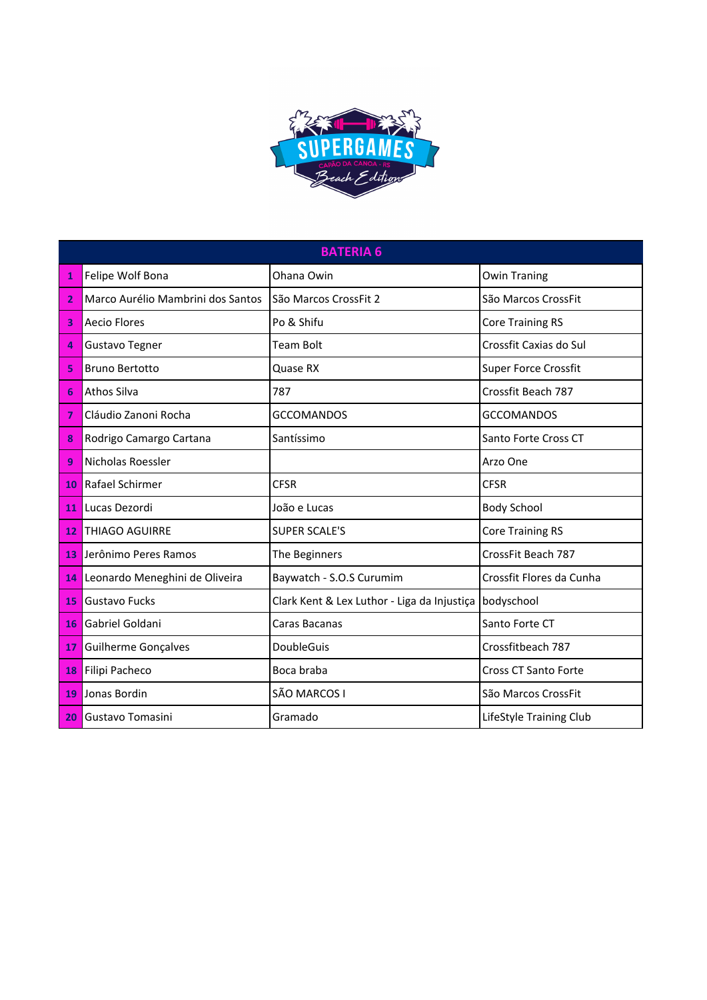

|                | <b>BATERIA 6</b>                  |                                             |                             |  |
|----------------|-----------------------------------|---------------------------------------------|-----------------------------|--|
| 1              | Felipe Wolf Bona                  | Ohana Owin                                  | <b>Owin Traning</b>         |  |
| $\overline{2}$ | Marco Aurélio Mambrini dos Santos | São Marcos CrossFit 2                       | São Marcos CrossFit         |  |
| 3              | <b>Aecio Flores</b>               | Po & Shifu                                  | <b>Core Training RS</b>     |  |
| 4              | <b>Gustavo Tegner</b>             | <b>Team Bolt</b>                            | Crossfit Caxias do Sul      |  |
| 5              | <b>Bruno Bertotto</b>             | Quase RX                                    | <b>Super Force Crossfit</b> |  |
| 6              | Athos Silva                       | 787                                         | Crossfit Beach 787          |  |
| 7              | Cláudio Zanoni Rocha              | <b>GCCOMANDOS</b>                           | <b>GCCOMANDOS</b>           |  |
| 8              | Rodrigo Camargo Cartana           | Santíssimo                                  | Santo Forte Cross CT        |  |
| 9              | Nicholas Roessler                 |                                             | Arzo One                    |  |
| 10             | Rafael Schirmer                   | <b>CFSR</b>                                 | <b>CFSR</b>                 |  |
| 11             | Lucas Dezordi                     | João e Lucas                                | <b>Body School</b>          |  |
| 12             | <b>THIAGO AGUIRRE</b>             | <b>SUPER SCALE'S</b>                        | <b>Core Training RS</b>     |  |
| 13             | Jerônimo Peres Ramos              | The Beginners                               | CrossFit Beach 787          |  |
| 14             | Leonardo Meneghini de Oliveira    | Baywatch - S.O.S Curumim                    | Crossfit Flores da Cunha    |  |
| 15             | <b>Gustavo Fucks</b>              | Clark Kent & Lex Luthor - Liga da Injustiça | bodyschool                  |  |
| 16             | Gabriel Goldani                   | Caras Bacanas                               | Santo Forte CT              |  |
| 17             | Guilherme Gonçalves               | DoubleGuis                                  | Crossfitbeach 787           |  |
| 18             | Filipi Pacheco                    | Boca braba                                  | Cross CT Santo Forte        |  |
| 19             | Jonas Bordin                      | SÃO MARCOS I                                | São Marcos CrossFit         |  |
| 20             | Gustavo Tomasini                  | Gramado                                     | LifeStyle Training Club     |  |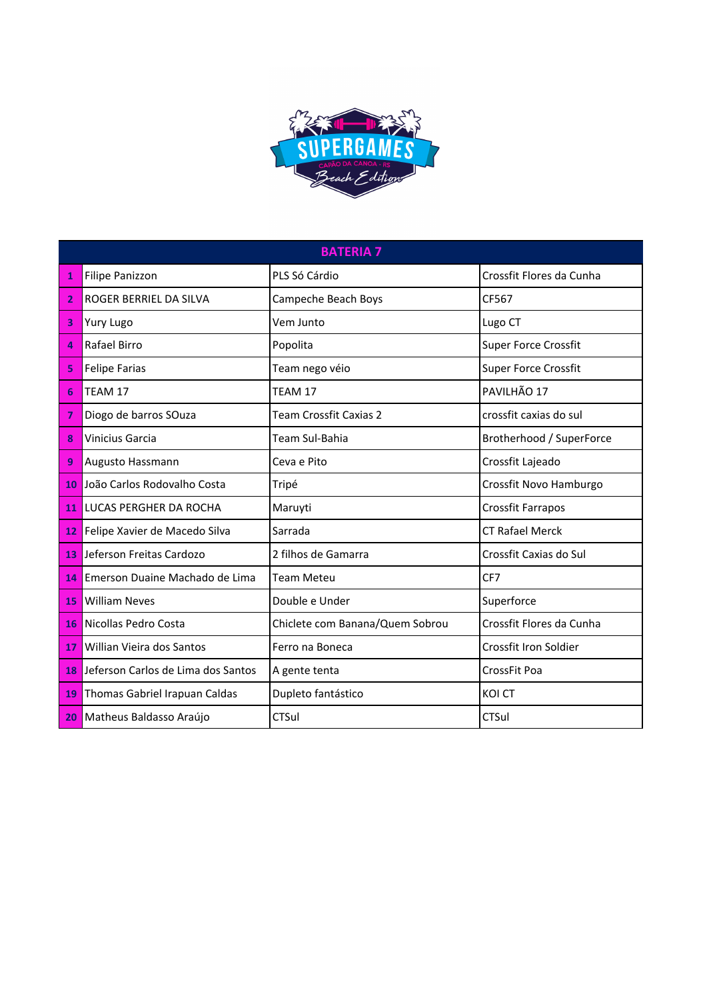

|                 | <b>BATERIA 7</b>                   |                                 |                             |  |  |
|-----------------|------------------------------------|---------------------------------|-----------------------------|--|--|
| 1               | <b>Filipe Panizzon</b>             | PLS Só Cárdio                   | Crossfit Flores da Cunha    |  |  |
| 2               | ROGER BERRIEL DA SILVA             | Campeche Beach Boys             | CF567                       |  |  |
| 3               | Yury Lugo                          | Vem Junto                       | Lugo CT                     |  |  |
| $\Delta$        | <b>Rafael Birro</b>                | Popolita                        | <b>Super Force Crossfit</b> |  |  |
| 5               | <b>Felipe Farias</b>               | Team nego véio                  | <b>Super Force Crossfit</b> |  |  |
| 6               | TEAM 17                            | TEAM 17                         | PAVILHÃO 17                 |  |  |
| 7               | Diogo de barros SOuza              | <b>Team Crossfit Caxias 2</b>   | crossfit caxias do sul      |  |  |
| 8               | <b>Vinicius Garcia</b>             | Team Sul-Bahia                  | Brotherhood / SuperForce    |  |  |
| 9               | Augusto Hassmann                   | Ceva e Pito                     | Crossfit Lajeado            |  |  |
| 10              | João Carlos Rodovalho Costa        | Tripé                           | Crossfit Novo Hamburgo      |  |  |
| 11 <sup>1</sup> | LUCAS PERGHER DA ROCHA             | Maruyti                         | Crossfit Farrapos           |  |  |
| 12 I            | Felipe Xavier de Macedo Silva      | Sarrada                         | <b>CT Rafael Merck</b>      |  |  |
| 13              | Jeferson Freitas Cardozo           | 2 filhos de Gamarra             | Crossfit Caxias do Sul      |  |  |
| 14              | Emerson Duaine Machado de Lima     | <b>Team Meteu</b>               | CF7                         |  |  |
| 15              | <b>William Neves</b>               | Double e Under                  | Superforce                  |  |  |
| 16              | Nicollas Pedro Costa               | Chiclete com Banana/Quem Sobrou | Crossfit Flores da Cunha    |  |  |
| 17              | Willian Vieira dos Santos          | Ferro na Boneca                 | Crossfit Iron Soldier       |  |  |
| 18              | Jeferson Carlos de Lima dos Santos | A gente tenta                   | CrossFit Poa                |  |  |
| 19              | Thomas Gabriel Irapuan Caldas      | Dupleto fantástico              | <b>KOI CT</b>               |  |  |
| 20              | Matheus Baldasso Araújo            | CTSul                           | <b>CTSul</b>                |  |  |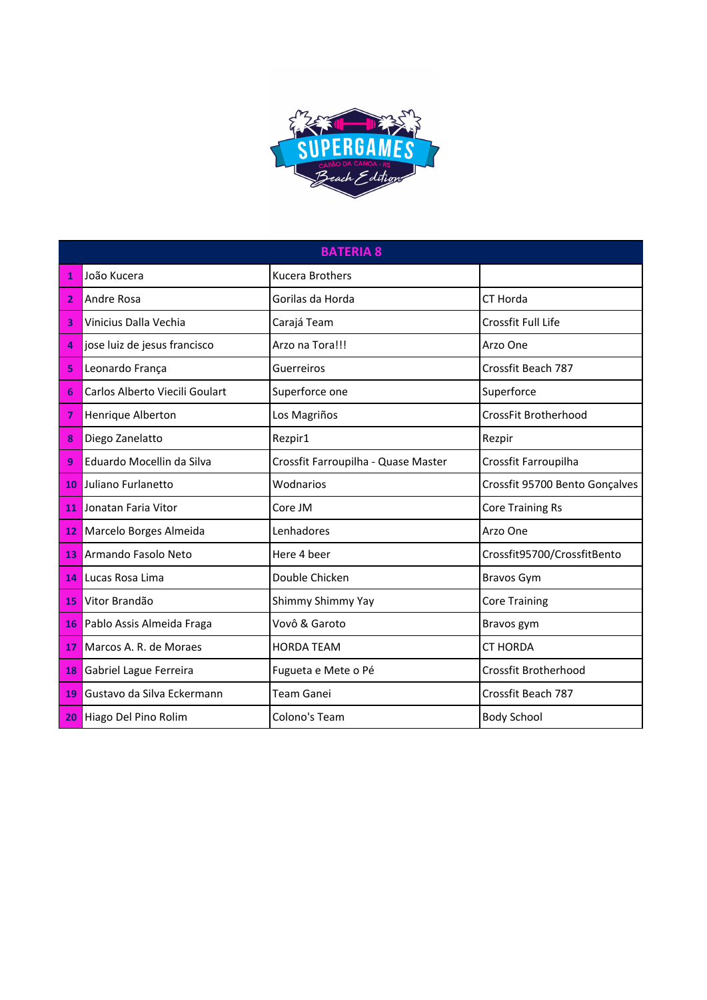

|                | <b>BATERIA 8</b>               |                                     |                                |  |
|----------------|--------------------------------|-------------------------------------|--------------------------------|--|
| 1              | João Kucera                    | <b>Kucera Brothers</b>              |                                |  |
| $\overline{2}$ | Andre Rosa                     | Gorilas da Horda                    | CT Horda                       |  |
| 3              | Vinicius Dalla Vechia          | Carajá Team                         | Crossfit Full Life             |  |
| 4              | jose luiz de jesus francisco   | Arzo na Tora!!!                     | Arzo One                       |  |
| 5              | Leonardo França                | Guerreiros                          | Crossfit Beach 787             |  |
| 6              | Carlos Alberto Viecili Goulart | Superforce one                      | Superforce                     |  |
| 7              | Henrique Alberton              | Los Magriños                        | CrossFit Brotherhood           |  |
| 8              | Diego Zanelatto                | Rezpir1                             | Rezpir                         |  |
| q              | Eduardo Mocellin da Silva      | Crossfit Farroupilha - Quase Master | Crossfit Farroupilha           |  |
| 10             | Juliano Furlanetto             | Wodnarios                           | Crossfit 95700 Bento Gonçalves |  |
| 11             | Jonatan Faria Vitor            | Core JM                             | <b>Core Training Rs</b>        |  |
| 12             | Marcelo Borges Almeida         | Lenhadores                          | Arzo One                       |  |
| 13             | Armando Fasolo Neto            | Here 4 beer                         | Crossfit95700/CrossfitBento    |  |
| 14             | Lucas Rosa Lima                | Double Chicken                      | <b>Bravos Gym</b>              |  |
| 15             | Vitor Brandão                  | Shimmy Shimmy Yay                   | <b>Core Training</b>           |  |
| 16             | Pablo Assis Almeida Fraga      | Vovô & Garoto                       | Bravos gym                     |  |
| 17             | Marcos A. R. de Moraes         | <b>HORDA TEAM</b>                   | <b>CT HORDA</b>                |  |
| 18             | Gabriel Lague Ferreira         | Fugueta e Mete o Pé                 | <b>Crossfit Brotherhood</b>    |  |
| 19             | Gustavo da Silva Eckermann     | <b>Team Ganei</b>                   | Crossfit Beach 787             |  |
| 20             | Hiago Del Pino Rolim           | Colono's Team                       | <b>Body School</b>             |  |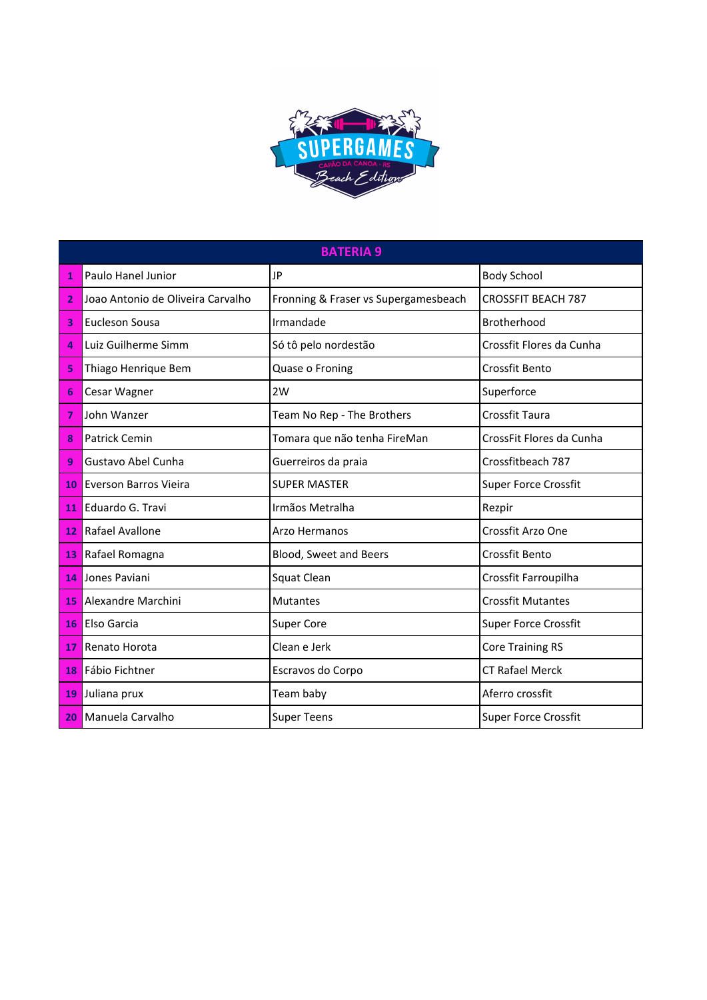

|    | <b>BATERIA 9</b>                  |                                      |                             |  |
|----|-----------------------------------|--------------------------------------|-----------------------------|--|
| 1  | Paulo Hanel Junior                | JP                                   | <b>Body School</b>          |  |
| 2  | Joao Antonio de Oliveira Carvalho | Fronning & Fraser vs Supergamesbeach | <b>CROSSFIT BEACH 787</b>   |  |
| 3  | Eucleson Sousa                    | Irmandade                            | Brotherhood                 |  |
| 4  | Luiz Guilherme Simm               | Só tô pelo nordestão                 | Crossfit Flores da Cunha    |  |
| 5  | Thiago Henrique Bem               | Quase o Froning                      | <b>Crossfit Bento</b>       |  |
| 6  | Cesar Wagner                      | 2W                                   | Superforce                  |  |
| 7  | John Wanzer                       | Team No Rep - The Brothers           | Crossfit Taura              |  |
| 8  | <b>Patrick Cemin</b>              | Tomara que não tenha FireMan         | CrossFit Flores da Cunha    |  |
| 9  | Gustavo Abel Cunha                | Guerreiros da praia                  | Crossfitbeach 787           |  |
| 10 | <b>Everson Barros Vieira</b>      | <b>SUPER MASTER</b>                  | <b>Super Force Crossfit</b> |  |
| 11 | Eduardo G. Travi                  | Irmãos Metralha                      | Rezpir                      |  |
| 12 | Rafael Avallone                   | Arzo Hermanos                        | Crossfit Arzo One           |  |
|    | 13 Rafael Romagna                 | Blood, Sweet and Beers               | Crossfit Bento              |  |
| 14 | <b>Jones Paviani</b>              | Squat Clean                          | Crossfit Farroupilha        |  |
| 15 | Alexandre Marchini                | <b>Mutantes</b>                      | <b>Crossfit Mutantes</b>    |  |
| 16 | Elso Garcia                       | <b>Super Core</b>                    | Super Force Crossfit        |  |
| 17 | <b>Renato Horota</b>              | Clean e Jerk                         | <b>Core Training RS</b>     |  |
| 18 | Fábio Fichtner                    | Escravos do Corpo                    | <b>CT Rafael Merck</b>      |  |
| 19 | Juliana prux                      | Team baby                            | Aferro crossfit             |  |
|    | 20 Manuela Carvalho               | <b>Super Teens</b>                   | <b>Super Force Crossfit</b> |  |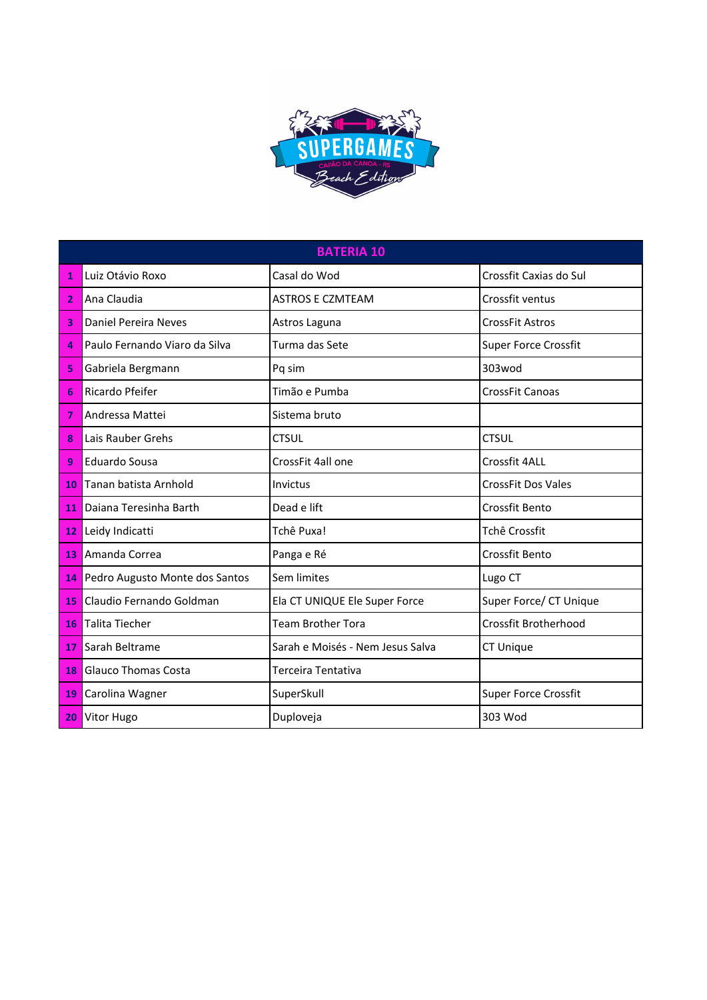

|    | <b>BATERIA 10</b>              |                                  |                             |  |  |
|----|--------------------------------|----------------------------------|-----------------------------|--|--|
| 1  | Luiz Otávio Roxo               | Casal do Wod                     | Crossfit Caxias do Sul      |  |  |
| 2  | Ana Claudia                    | <b>ASTROS E CZMTEAM</b>          | Crossfit ventus             |  |  |
| 3  | Daniel Pereira Neves           | Astros Laguna                    | <b>CrossFit Astros</b>      |  |  |
| 4  | Paulo Fernando Viaro da Silva  | Turma das Sete                   | <b>Super Force Crossfit</b> |  |  |
| 5  | Gabriela Bergmann              | Pq sim                           | 303wod                      |  |  |
| 6  | <b>Ricardo Pfeifer</b>         | Timão e Pumba                    | <b>CrossFit Canoas</b>      |  |  |
| 7  | Andressa Mattei                | Sistema bruto                    |                             |  |  |
| 8  | Lais Rauber Grehs              | <b>CTSUL</b>                     | <b>CTSUL</b>                |  |  |
| 9  | Eduardo Sousa                  | CrossFit 4all one                | Crossfit 4ALL               |  |  |
| 10 | Tanan batista Arnhold          | Invictus                         | <b>CrossFit Dos Vales</b>   |  |  |
| 11 | Daiana Teresinha Barth         | Dead e lift                      | <b>Crossfit Bento</b>       |  |  |
|    | 12 Leidy Indicatti             | Tchê Puxa!                       | Tchê Crossfit               |  |  |
| 13 | Amanda Correa                  | Panga e Ré                       | <b>Crossfit Bento</b>       |  |  |
| 14 | Pedro Augusto Monte dos Santos | Sem limites                      | Lugo CT                     |  |  |
| 15 | Claudio Fernando Goldman       | Ela CT UNIQUE Ele Super Force    | Super Force/ CT Unique      |  |  |
| 16 | Talita Tiecher                 | <b>Team Brother Tora</b>         | <b>Crossfit Brotherhood</b> |  |  |
| 17 | Sarah Beltrame                 | Sarah e Moisés - Nem Jesus Salva | <b>CT Unique</b>            |  |  |
| 18 | <b>Glauco Thomas Costa</b>     | Terceira Tentativa               |                             |  |  |
| 19 | Carolina Wagner                | SuperSkull                       | <b>Super Force Crossfit</b> |  |  |
| 20 | Vitor Hugo                     | Duploveja                        | 303 Wod                     |  |  |